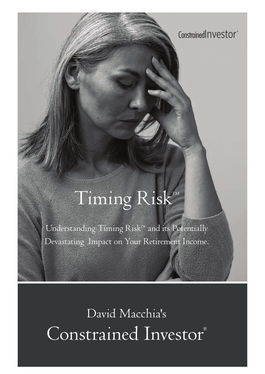Constrained **nvestor**<sup>®</sup>

# Timing RiskTM

Understanding Timing Risk™ and its Potentially Devastating Impact on Your Retirement Income.

David Macchia's Constrained Investor®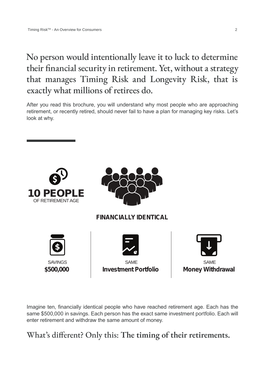## No person would intentionally leave it to luck to determine their financial security in retirement. Yet, without a strategy that manages Timing Risk and Longevity Risk, that is exactly what millions of retirees do.

After you read this brochure, you will understand why most people who are approaching retirement, or recently retired, should never fail to have a plan for managing key risks. Let's look at why.



Imagine ten, financially identical people who have reached retirement age. Each has the same \$500,000 in savings. Each person has the exact same investment portfolio. Each will enter retirement and withdraw the same amount of money.

What's different? Only this: **The timing of their retirements.**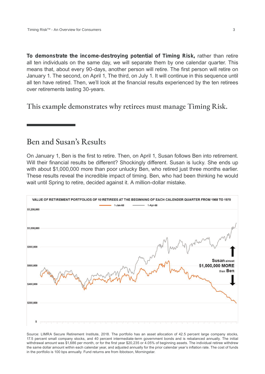**To demonstrate the income-destroying potential of Timing Risk,** rather than retire all ten individuals on the same day, we will separate them by one calendar quarter. This means that, about every 90-days, another person will retire. The first person will retire on January 1. The second, on April 1, The third, on July 1. It will continue in this sequence until all ten have retired. Then, we'll look at the financial results experienced by the ten retirees over retirements lasting 30-years.

This example demonstrates why retirees must manage Timing Risk.

#### Ben and Susan's Results

On January 1, Ben is the first to retire. Then, on April 1, Susan follows Ben into retirement. Will their financial results be different? Shockingly different. Susan is lucky. She ends up with about \$1,000,000 more than poor unlucky Ben, who retired just three months earlier. These results reveal the incredible impact of timing. Ben, who had been thinking he would wait until Spring to retire, decided against it. A million-dollar mistake.



Source: LIMRA Secure Retirement Institute, 2018. The portfolio has an asset allocation of 42.5 percent large company stocks, 17.5 percent small company stocks, and 40 percent intermediate-term government bonds and is rebalanced annually. The initial withdrawal amount was \$1,686 per month, or for the first year \$20,235 or 4.05% of beginning assets. The individual retiree withdrew the same dollar amount within each calendar year, and adjusted annually for the prior calendar year's inflation rate. The cost of funds in the portfolio is 100 bps annually. Fund returns are from Ibbotson, Morningstar.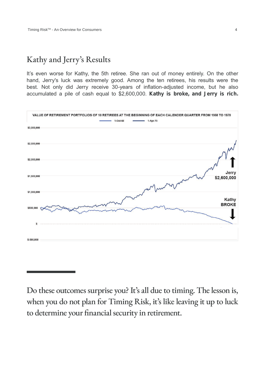#### Kathy and Jerry's Results

It's even worse for Kathy, the 5th retiree. She ran out of money entirely. On the other hand, Jerry's luck was extremely good. Among the ten retirees, his results were the best. Not only did Jerry receive 30-years of inflation-adjusted income, but he also accumulated a pile of cash equal to \$2,600,000. **Kathy is broke, and Jerry is rich.**



Do these outcomes surprise you? It's all due to timing. The lesson is, when you do not plan for Timing Risk, it's like leaving it up to luck to determine your financial security in retirement.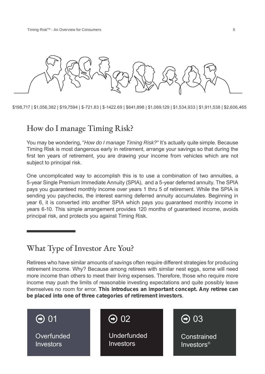

\$198,717 | \$1,056,382 | \$19,7594 | \$-721.83 | \$-1422.69 | \$641,898 | \$1,069,129 | \$1,534,933 | \$1,911,538 | \$2,606,465

### How do I manage Timing Risk?

You may be wondering, "*How do I manage Timing Risk?"* It's actually quite simple. Because Timing Risk is most dangerous early in retirement, arrange your savings so that during the first ten years of retirement, you are drawing your income from vehicles which are not subject to principal risk.

One uncomplicated way to accomplish this is to use a combination of two annuities, a 5-year Single Premium Immediate Annuity (SPIA), and a 5-year deferred annuity. The SPIA pays you guaranteed monthly income over years 1 thru 5 of retirement. While the SPIA is sending you paychecks, the interest earning deferred annuity accumulates. Beginning in year 6, it is converted into another SPIA which pays you guaranteed monthly income in years 6-10. This simple arrangement provides 120 months of guaranteed income, avoids principal risk, and protects you against Timing Risk.

### What Type of Investor Are You?

Retirees who have similar amounts of savings often require different strategies for producing retirement income. Why? Because among retirees with similar nest eggs, some will need more income than others to meet their living expenses. Therefore, those who require more income may push the limits of reasonable investing expectations and quite possibly leave themselves no room for error. **This introduces an important concept. Any retiree can be placed into one of three categories of retirement investors**.

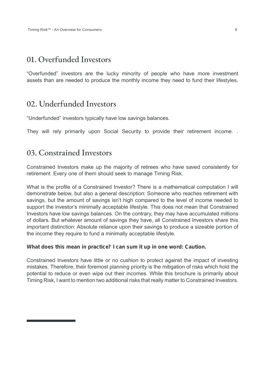#### 01. Overfunded Investors

"Overfunded" investors are the lucky minority of people who have more investment assets than are needed to produce the monthly income they need to fund their lifestyles.

#### 02. Underfunded Investors

"Underfunded" investors typically have low savings balances.

They will rely primarily upon Social Security to provide their retirement income. .

#### 03. Constrained Investors

Constrained Investors make up the majority of retirees who have saved consistently for retirement Every one of them should seek to manage Timing Risk.

What is the profile of a Constrained Investor? There is a mathematical computation I will demonstrate below, but also a general description: Someone who reaches retirement with savings, but the amount of savings isn't high compared to the level of income needed to support the investor's minimally acceptable lifestyle. This does not mean that Constrained Investors have low savings balances. On the contrary, they may have accumulated millions of dollars. But whatever amount of savings they have, all Constrained Investors share this important distinction: Absolute reliance upon their savings to produce a sizeable portion of the income they require to fund a minimally acceptable lifestyle.

#### **What does this mean in practice? I can sum it up in one word: Caution.**

Constrained Investors have little or no cushion to protect against the impact of investing mistakes. Therefore, their foremost planning priority is the mitigation of risks which hold the potential to reduce or even wipe out their incomes. While this brochure is primarily about Timing Risk, I want to mention two additional risks that really matter to Constrained Investors.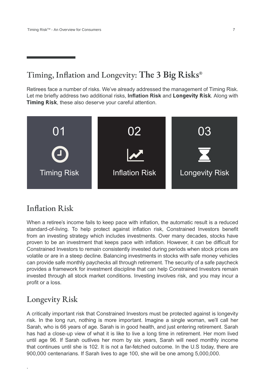## Timing, Inflation and Longevity: **The 3 Big Risks®**

Retirees face a number of risks. We've already addressed the management of Timing Risk. Let me briefly address two additional risks, **Inflation Risk** and **Longevity Risk**. Along with **Timing Risk**, these also deserve your careful attention.



#### Inflation Risk

When a retiree's income fails to keep pace with inflation, the automatic result is a reduced standard-of-living. To help protect against inflation risk, Constrained Investors benefit from an investing strategy which includes investments. Over many decades, stocks have proven to be an investment that keeps pace with inflation. However, it can be difficult for Constrained Investors to remain consistently invested during periods when stock prices are volatile or are in a steep decline. Balancing investments in stocks with safe money vehicles can provide safe monthly paychecks all through retirement. The security of a safe paycheck provides a framework for investment discipline that can help Constrained Investors remain invested through all stock market conditions. Investing involves risk, and you may incur a profit or a loss.

#### Longevity Risk

.

A critically important risk that Constrained Investors must be protected against is longevity risk. In the long run, nothing is more important. Imagine a single woman, we'll call her Sarah, who is 66 years of age. Sarah is in good health, and just entering retirement. Sarah has had a close-up view of what it is like to live a long time in retirement. Her mom lived until age 96. If Sarah outlives her mom by six years, Sarah will need monthly income that continues until she is 102. It is not a far-fetched outcome. In the U.S today, there are 900,000 centenarians. If Sarah lives to age 100, she will be one among 5,000,000.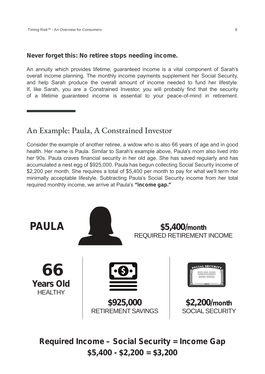#### **Never forget this: No retiree stops needing income.**

An annuity which provides lifetime, guaranteed income is a vital component of Sarah's overall income planning. The monthly income payments supplement her Social Security, and help Sarah produce the overall amount of income needed to fund her lifestyle. If, like Sarah, you are a Constrained Investor, you will probably find that the security of a lifetime guaranteed income is essential to your peace-of-mind in retirement.

### An Example: Paula, A Constrained Investor

Consider the example of another retiree, a widow who is also 66 years of age and in good health. Her name is Paula. Similar to Sarah's example above, Paula's mom also lived into her 90s. Paula craves financial security in her old age. She has saved regularly and has accumulated a nest egg of \$925,000. Paula has begun collecting Social Security income of \$2,200 per month. She requires a total of \$5,400 per month to pay for what we'll term her minimally acceptable lifestyle. Subtracting Paula's Social Security income from her total required monthly income, we arrive at Paula's **"income gap."**



**Required Income – Social Security = Income Gap \$5,400 - \$2,200 = \$3,200**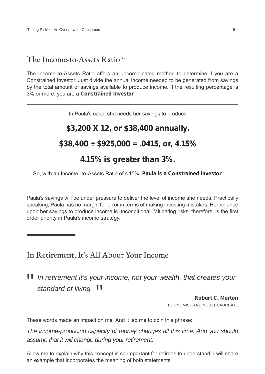#### The Income-to-Assets Ratio $^{TM}$

The Income-to-Assets Ratio offers an uncomplicated method to determine if you are a Constrained Investor. Just divide the annual income needed to be generated from savings by the total amount of savings available to produce income. If the resulting percentage is 3% or more, you are a **Constrained Investor**.

# In Paula's case, she needs her savings to produce **\$3,200 X 12, or \$38,400 annually. \$38,400 ÷ \$925,000 = .0415, or, 4.15% 4.15% is greater than 3%.**  So, with an Income -to-Assets Ratio of 4.15%, **Paula is a Constrained Investor**.

Paula's savings will be under pressure to deliver the level of income she needs. Practically speaking, Paula has no margin for error in terms of making investing mistakes. Her reliance upon her savings to produce income is unconditional. Mitigating risks, therefore, is the first order priority in Paula's income strategy.

#### In Retirement, It's All About Your Income

# "*In retirement it's your income, not your wealth, that creates your*  standard of living. **II**

**Robert C. Merton** ECONOMIST AND NOBEL LAUREATE

These words made an impact on me. And it led me to coin this phrase:

*The income-producing capacity of money changes all this time. And you should assume that it will change during your retirement.*

Allow me to explain why this concept is so important for retirees to understand. I will share an example that incorporates the meaning of both statements.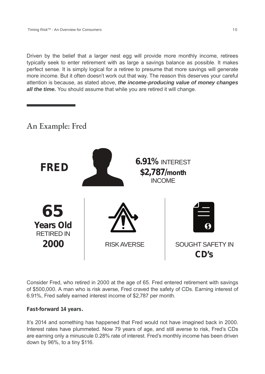Driven by the belief that a larger nest egg will provide more monthly income, retirees typically seek to enter retirement with as large a savings balance as possible. It makes perfect sense. It is simply logical for a retiree to presume that more savings will generate more income. But it often doesn't work out that way. The reason this deserves your careful attention is because, as stated above, *the income-producing value of money changes all the time.* You should assume that while you are retired it will change.

### An Example: Fred



Consider Fred, who retired in 2000 at the age of 65. Fred entered retirement with savings of \$500,000. A man who is risk averse, Fred craved the safety of CDs. Earning interest of 6.91%, Fred safely earned interest income of \$2,787 per month.

#### **Fast-forward 14 years.**

It's 2014 and something has happened that Fred would not have imagined back in 2000. Interest rates have plummeted. Now 79 years of age, and still averse to risk, Fred's CDs are earning only a minuscule 0.28% rate of interest. Fred's monthly income has been driven down by 96%, to a tiny \$116.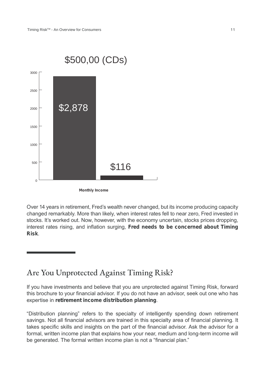

**Monthly Income**

Over 14 years in retirement, Fred's wealth never changed, but its income producing capacity changed remarkably. More than likely, when interest rates fell to near zero, Fred invested in stocks. It's worked out. Now, however, with the economy uncertain, stocks prices dropping, interest rates rising, and inflation surging, **Fred needs to be concerned about Timing Risk**.

#### Are You Unprotected Against Timing Risk?

If you have investments and believe that you are unprotected against Timing Risk, forward this brochure to your financial advisor. If you do not have an advisor, seek out one who has expertise in **retirement income distribution planning**.

"Distribution planning" refers to the specialty of intelligently spending down retirement savings. Not all financial advisors are trained in this specialty area of financial planning. It takes specific skills and insights on the part of the financial advisor. Ask the advisor for a formal, written income plan that explains how your near, medium and long-term income will be generated. The formal written income plan is not a "financial plan."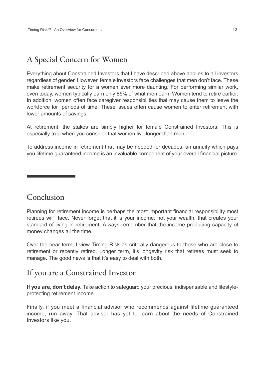## A Special Concern for Women

Everything about Constrained Investors that I have described above applies to all investors regardless of gender. However, female investors face challenges that men don't face. These make retirement security for a women ever more daunting. For performing similar work, even today, women typically earn only 85% of what men earn. Women tend to retire earlier. In addition, women often face caregiver responsibilities that may cause them to leave the workforce for periods of time. These issues often cause women to enter retirement with lower amounts of savings.

At retirement, the stakes are simply higher for female Constrained Investors. This is especially true when you consider that women live longer than men.

To address income in retirement that may be needed for decades, an annuity which pays you lifetime guaranteed income is an invaluable component of your overall financial picture.

#### Conclusion

Planning for retirement income is perhaps the most important financial responsibility most retirees will face. Never forget that it is your income, not your wealth, that creates your standard-of-living in retirement. Always remember that the income producing capacity of money changes all the time.

Over the near term, I view Timing Risk as critically dangerous to those who are close to retirement or recently retired. Longer term, it's longevity risk that retirees must seek to manage. The good news is that it's easy to deal with both.

#### If you are a Constrained Investor

**If you are, don't delay.** Take action to safeguard your precious, indispensable and lifestyleprotecting retirement income.

Finally, if you meet a financial advisor who recommends against lifetime guaranteed income, run away. That advisor has yet to learn about the needs of Constrained Investors like you.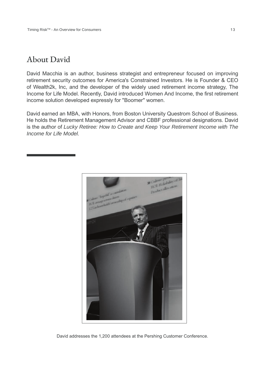#### About David

David Macchia is an author, business strategist and entrepreneur focused on improving retirement security outcomes for America's Constrained Investors. He is Founder & CEO of Wealth2k, Inc, and the developer of the widely used retirement income strategy, The Income for Life Model. Recently, David introduced Women And Income, the first retirement income solution developed expressly for "Boomer" women.

David earned an MBA, with Honors, from Boston University Questrom School of Business. He holds the Retirement Management Advisor and CBBF professional designations. David is the author of *Lucky Retiree: How to Create and Keep Your Retirement Income with The Income for Life Model*.



David addresses the 1,200 attendees at the Pershing Customer Conference.